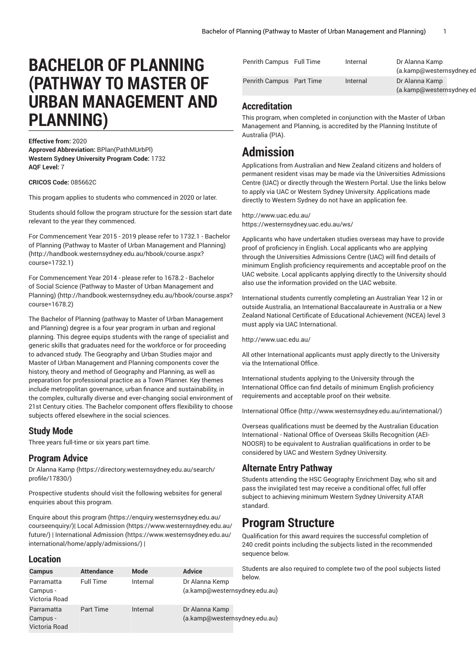# **BACHELOR OF PLANNING (PATHWAY TO MASTER OF URBAN MANAGEMENT AND PLANNING)**

**Effective from:** 2020

**Approved Abbreviation:** BPlan(PathMUrbPl) **Western Sydney University Program Code:** 1732 **AQF Level:** 7

#### **CRICOS Code:** 085662C

This progam applies to students who commenced in 2020 or later.

Students should follow the program structure for the session start date relevant to the year they commenced.

For [Commencement](http://handbook.westernsydney.edu.au/hbook/course.aspx?course=1732.1) Year 2015 - 2019 please refer to 1732.1 - Bachelor of Planning (Pathway to Master of Urban [Management](http://handbook.westernsydney.edu.au/hbook/course.aspx?course=1732.1) and Planning) ([http://handbook.westernsydney.edu.au/hbook/course.aspx?](http://handbook.westernsydney.edu.au/hbook/course.aspx?course=1732.1) [course=1732.1\)](http://handbook.westernsydney.edu.au/hbook/course.aspx?course=1732.1)

For [Commencement](http://handbook.westernsydney.edu.au/hbook/course.aspx?course=1678.2) Year 2014 - please refer to 1678.2 - Bachelor of Social Science (Pathway to Master of Urban [Management](http://handbook.westernsydney.edu.au/hbook/course.aspx?course=1678.2) and [Planning\)](http://handbook.westernsydney.edu.au/hbook/course.aspx?course=1678.2) [\(http://handbook.westernsydney.edu.au/hbook/course.aspx?](http://handbook.westernsydney.edu.au/hbook/course.aspx?course=1678.2) [course=1678.2\)](http://handbook.westernsydney.edu.au/hbook/course.aspx?course=1678.2)

The Bachelor of Planning (pathway to Master of Urban Management and Planning) degree is a four year program in urban and regional planning. This degree equips students with the range of specialist and generic skills that graduates need for the workforce or for proceeding to advanced study. The Geography and Urban Studies major and Master of Urban Management and Planning components cover the history, theory and method of Geography and Planning, as well as preparation for professional practice as a Town Planner. Key themes include metropolitan governance, urban finance and sustainability, in the complex, culturally diverse and ever-changing social environment of 21st Century cities. The Bachelor component offers flexibility to choose subjects offered elsewhere in the social sciences.

### **Study Mode**

Three years full-time or six years part time.

### **Program Advice**

[Dr Alanna Kamp](https://directory.westernsydney.edu.au/search/profile/17830/) ([https://directory.westernsydney.edu.au/search/](https://directory.westernsydney.edu.au/search/profile/17830/) [profile/17830/\)](https://directory.westernsydney.edu.au/search/profile/17830/)

Prospective students should visit the following websites for general enquiries about this program.

Enquire about this [program \(https://enquiry.westernsydney.edu.au/](https://enquiry.westernsydney.edu.au/courseenquiry/) [courseenquiry/](https://enquiry.westernsydney.edu.au/courseenquiry/))| [Local Admission \(https://www.westernsydney.edu.au/](https://www.westernsydney.edu.au/future/) [future/\)](https://www.westernsydney.edu.au/future/) | [International Admission](https://www.westernsydney.edu.au/international/home/apply/admissions/) ([https://www.westernsydney.edu.au/](https://www.westernsydney.edu.au/international/home/apply/admissions/) [international/home/apply/admissions/](https://www.westernsydney.edu.au/international/home/apply/admissions/)) |

### **Location**

| <b>Campus</b>                           | <b>Attendance</b> | Mode     | <b>Advice</b>                                   | Students are |  |
|-----------------------------------------|-------------------|----------|-------------------------------------------------|--------------|--|
| Parramatta<br>Campus -<br>Victoria Road | <b>Full Time</b>  | Internal | Dr Alanna Kemp<br>(a.kamp@westernsydney.edu.au) | below.       |  |
| Parramatta<br>Campus -<br>Victoria Road | <b>Part Time</b>  | Internal | Dr Alanna Kamp<br>(a.kamp@westernsydney.edu.au) |              |  |

| Penrith Campus Full Time | Internal | Dr Alanna Kamp<br>(a.kamp@westernsydney.ed |  |
|--------------------------|----------|--------------------------------------------|--|
| Penrith Campus Part Time | Internal | Dr Alanna Kamp<br>(a.kamp@westernsydney.ed |  |

## **Accreditation**

This program, when completed in conjunction with the Master of Urban Management and Planning, is accredited by the Planning Institute of Australia (PIA).

## **Admission**

Applications from Australian and New Zealand citizens and holders of permanent resident visas may be made via the Universities Admissions Centre (UAC) or directly through the Western Portal. Use the links below to apply via UAC or Western Sydney University. Applications made directly to Western Sydney do not have an application fee.

#### <http://www.uac.edu.au/> <https://westernsydney.uac.edu.au/ws/>

Applicants who have undertaken studies overseas may have to provide proof of proficiency in English. Local applicants who are applying through the Universities Admissions Centre (UAC) will find details of minimum English proficiency requirements and acceptable proof on the UAC website. Local applicants applying directly to the University should also use the information provided on the UAC website.

International students currently completing an Australian Year 12 in or outside Australia, an International Baccalaureate in Australia or a New Zealand National Certificate of Educational Achievement (NCEA) level 3 must apply via UAC International.

<http://www.uac.edu.au/>

All other International applicants must apply directly to the University via the International Office.

International students applying to the University through the International Office can find details of minimum English proficiency requirements and acceptable proof on their website.

[International Office](http://www.westernsydney.edu.au/international/) ([http://www.westernsydney.edu.au/international/\)](http://www.westernsydney.edu.au/international/)

Overseas qualifications must be deemed by the Australian Education International - National Office of Overseas Skills Recognition (AEI-NOOSR) to be equivalent to Australian qualifications in order to be considered by UAC and Western Sydney University.

## **Alternate Entry Pathway**

Students attending the HSC Geography Enrichment Day, who sit and pass the invigilated test may receive a conditional offer, full offer subject to achieving minimum Western Sydney University ATAR standard.

## **Program Structure**

Qualification for this award requires the successful completion of 240 credit points including the subjects listed in the recommended sequence below.

s are also required to complete two of the pool subjects listed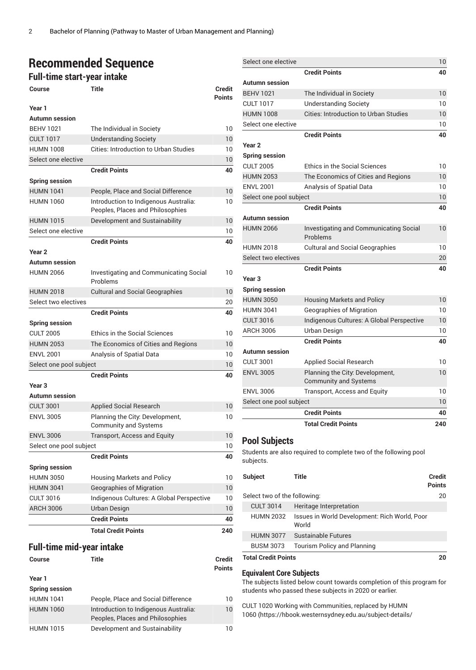## **Recommended Sequence**

**Full-time start-year intake**

| Course                           | Title                                                                     | <b>Credit</b><br><b>Points</b> |
|----------------------------------|---------------------------------------------------------------------------|--------------------------------|
| Year 1                           |                                                                           |                                |
| <b>Autumn</b> session            |                                                                           |                                |
| <b>BEHV 1021</b>                 | The Individual in Society                                                 | 10                             |
| <b>CULT 1017</b>                 | <b>Understanding Society</b>                                              | 10                             |
| <b>HUMN 1008</b>                 | <b>Cities: Introduction to Urban Studies</b>                              | 10                             |
| Select one elective              |                                                                           | 10                             |
|                                  | <b>Credit Points</b>                                                      | 40                             |
| <b>Spring session</b>            |                                                                           |                                |
| <b>HUMN 1041</b>                 | People, Place and Social Difference                                       | 10                             |
| <b>HUMN 1060</b>                 | Introduction to Indigenous Australia:<br>Peoples, Places and Philosophies | 10                             |
| <b>HUMN 1015</b>                 | Development and Sustainability                                            | 10                             |
| Select one elective              |                                                                           | 10                             |
|                                  | <b>Credit Points</b>                                                      | 40                             |
| Year <sub>2</sub>                |                                                                           |                                |
| <b>Autumn</b> session            |                                                                           |                                |
| <b>HUMN 2066</b>                 | <b>Investigating and Communicating Social</b><br>Problems                 | 10                             |
| <b>HUMN 2018</b>                 | <b>Cultural and Social Geographies</b>                                    | 10                             |
| Select two electives             |                                                                           | 20                             |
|                                  | <b>Credit Points</b>                                                      | 40                             |
| <b>Spring session</b>            |                                                                           |                                |
| <b>CULT 2005</b>                 | <b>Ethics in the Social Sciences</b>                                      | 10                             |
| <b>HUMN 2053</b>                 | The Economics of Cities and Regions                                       | 10                             |
| <b>ENVL 2001</b>                 | Analysis of Spatial Data                                                  | 10                             |
| Select one pool subject          |                                                                           | 10                             |
|                                  | <b>Credit Points</b>                                                      | 40                             |
| Year <sub>3</sub>                |                                                                           |                                |
| <b>Autumn session</b>            |                                                                           |                                |
| <b>CULT 3001</b>                 | <b>Applied Social Research</b>                                            | 10                             |
| <b>ENVL 3005</b>                 | Planning the City: Development,<br><b>Community and Systems</b>           | 10                             |
| <b>ENVL 3006</b>                 | Transport, Access and Equity                                              | 10                             |
| Select one pool subject          |                                                                           | 10                             |
|                                  | <b>Credit Points</b>                                                      | 40                             |
| <b>Spring session</b>            |                                                                           |                                |
| <b>HUMN 3050</b>                 | <b>Housing Markets and Policy</b>                                         | 10                             |
| <b>HUMN 3041</b>                 | <b>Geographies of Migration</b>                                           | 10                             |
| <b>CULT 3016</b>                 | Indigenous Cultures: A Global Perspective                                 | 10                             |
| <b>ARCH 3006</b>                 | <b>Urban Design</b>                                                       | 10                             |
|                                  | <b>Credit Points</b>                                                      | 40                             |
|                                  | <b>Total Credit Points</b>                                                | 240                            |
| <b>Full-time mid-year intake</b> |                                                                           |                                |
|                                  |                                                                           |                                |

| <b>Course</b>         | Title                                                                     | <b>Credit</b><br><b>Points</b> |
|-----------------------|---------------------------------------------------------------------------|--------------------------------|
| Year 1                |                                                                           |                                |
| <b>Spring session</b> |                                                                           |                                |
| <b>HUMN 1041</b>      | People, Place and Social Difference                                       | 10                             |
| <b>HUMN 1060</b>      | Introduction to Indigenous Australia:<br>Peoples, Places and Philosophies | 10                             |
| <b>HUMN 1015</b>      | Development and Sustainability                                            | 10                             |

| Select one elective     |                                                                 | 10  |
|-------------------------|-----------------------------------------------------------------|-----|
|                         | <b>Credit Points</b>                                            | 40  |
| <b>Autumn</b> session   |                                                                 |     |
| <b>BEHV 1021</b>        | The Individual in Society                                       | 10  |
| <b>CULT 1017</b>        | <b>Understanding Society</b>                                    | 10  |
| <b>HUMN 1008</b>        | <b>Cities: Introduction to Urban Studies</b>                    | 10  |
| Select one elective     |                                                                 | 10  |
|                         | <b>Credit Points</b>                                            | 40  |
| Year <sub>2</sub>       |                                                                 |     |
| <b>Spring session</b>   |                                                                 |     |
| <b>CULT 2005</b>        | Ethics in the Social Sciences                                   | 10  |
| <b>HUMN 2053</b>        | The Economics of Cities and Regions                             | 10  |
| <b>ENVL 2001</b>        | Analysis of Spatial Data                                        | 10  |
| Select one pool subject |                                                                 | 10  |
|                         | <b>Credit Points</b>                                            | 40  |
| <b>Autumn session</b>   |                                                                 |     |
| <b>HUMN 2066</b>        | <b>Investigating and Communicating Social</b><br>Problems       | 10  |
| <b>HUMN 2018</b>        | <b>Cultural and Social Geographies</b>                          | 10  |
| Select two electives    |                                                                 | 20  |
|                         | <b>Credit Points</b>                                            | 40  |
| Year <sub>3</sub>       |                                                                 |     |
| <b>Spring session</b>   |                                                                 |     |
| <b>HUMN 3050</b>        | <b>Housing Markets and Policy</b>                               | 10  |
| <b>HUMN 3041</b>        | Geographies of Migration                                        | 10  |
| <b>CULT 3016</b>        | Indigenous Cultures: A Global Perspective                       | 10  |
| <b>ARCH 3006</b>        | Urban Design                                                    | 10  |
|                         | <b>Credit Points</b>                                            | 40  |
| <b>Autumn</b> session   |                                                                 |     |
| <b>CULT 3001</b>        | <b>Applied Social Research</b>                                  | 10  |
| <b>ENVL 3005</b>        | Planning the City. Development,<br><b>Community and Systems</b> | 10  |
| <b>ENVL 3006</b>        | Transport, Access and Equity                                    | 10  |
| Select one pool subject |                                                                 | 10  |
|                         | <b>Credit Points</b>                                            | 40  |
|                         | <b>Total Credit Points</b>                                      | 240 |

## **Pool Subjects**

Students are also required to complete two of the following pool subjects.

| Subject                      | Title                                                  | Credit<br>Points |
|------------------------------|--------------------------------------------------------|------------------|
| Select two of the following: |                                                        | 20               |
| <b>CULT 3014</b>             | Heritage Interpretation                                |                  |
| <b>HUMN 2032</b>             | Issues in World Development: Rich World, Poor<br>World |                  |
| <b>HUMN 3077</b>             | Sustainable Futures                                    |                  |
| <b>BUSM 3073</b>             | <b>Tourism Policy and Planning</b>                     |                  |
| <b>Total Credit Points</b>   |                                                        |                  |

## **Equivalent Core Subjects**

The subjects listed below count towards completion of this program for students who passed these subjects in 2020 or earlier.

CULT 1020 Working with Communities, replaced by [HUMN](https://hbook.westernsydney.edu.au/subject-details/humn1060/) [1060](https://hbook.westernsydney.edu.au/subject-details/humn1060/) ([https://hbook.westernsydney.edu.au/subject-details/](https://hbook.westernsydney.edu.au/subject-details/humn1060/)